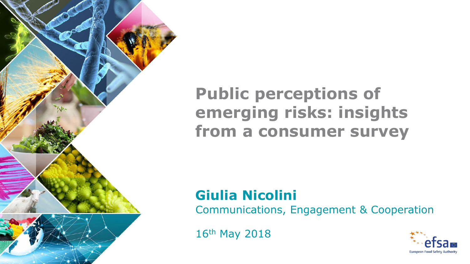

## **Public perceptions of emerging risks: insights from a consumer survey**

# **Giulia Nicolini**

Communications, Engagement & Cooperation

16th May 2018

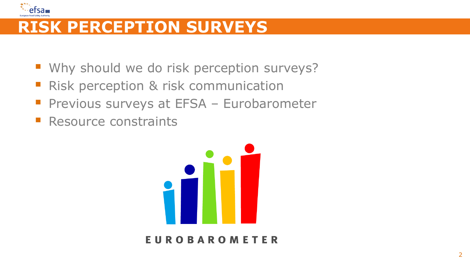

## **RISK PERCEPTION SURVEYS**

- **Why should we do risk perception surveys?**
- **Risk perception & risk communication**
- **Previous surveys at EFSA Eurobarometer**
- Resource constraints



#### **EUROBAROMETER**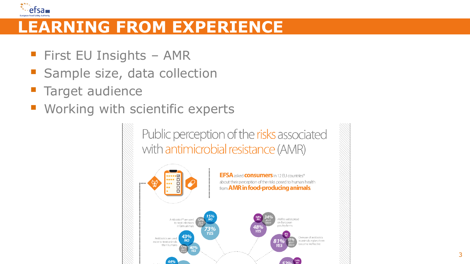

## **LEARNING FROM EXPERIENCE**

- **First EU Insights AMR**
- Sample size, data collection
- **Target audience**
- **Working with scientific experts**

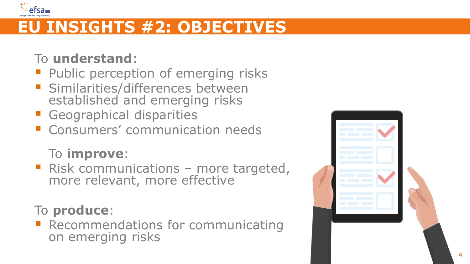

## **EU INSIGHTS #2: OBJECTIVES**

#### To **understand** :

- **Public perception of emerging risks Similarities/differences between**
- established and emerging risks
- 
- **Geographical disparities Consumers' communication needs**

#### To **improve** :

■ Risk communications – more targeted, more relevant, more effective

To **produce**:<br> **E** Recommendations for communicating on emerging risks

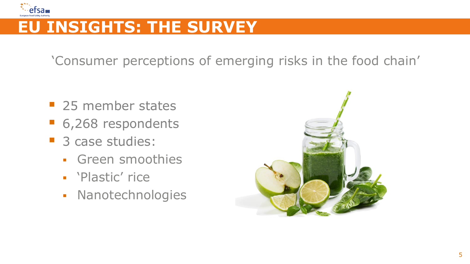

## **EU INSIGHTS: THE SURVEY**

'Consumer perceptions of emerging risks in the food chain'

- 25 member states
- 6,268 respondents
- 3 case studies:
	- Green smoothies
	- 'Plastic' rice
	- Nanotechnologies

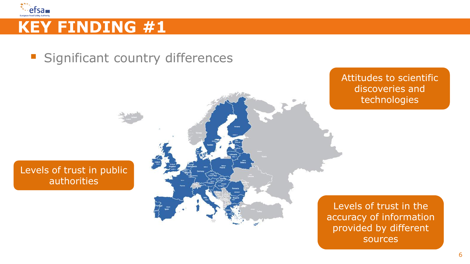

**Significant country differences** 

#### Levels of trust in public authorities



Attitudes to scientific discoveries and technologies

Levels of trust in the accuracy of information provided by different sources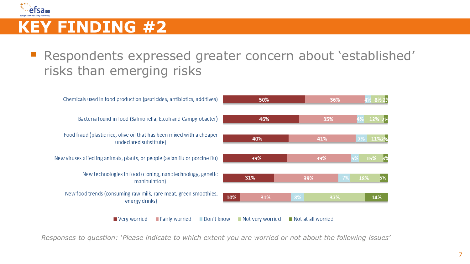

**Respondents expressed greater concern about 'established'** risks than emerging risks



*Responses to question: `Please indicate to which extent you are worried or not about the following issues'*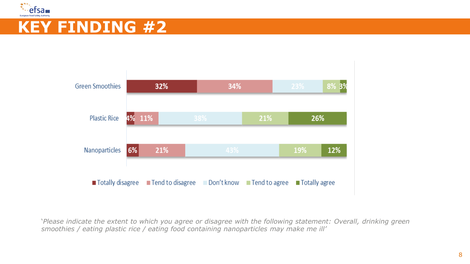



'*Please indicate the extent to which you agree or disagree with the following statement: Overall, drinking green smoothies / eating plastic rice / eating food containing nanoparticles may make me ill'*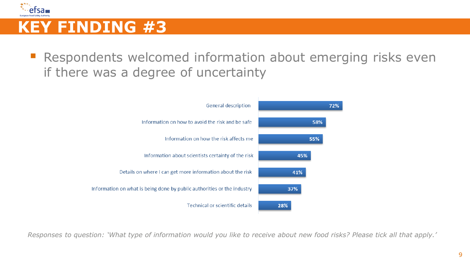

 Respondents welcomed information about emerging risks even if there was a degree of uncertainty



*Responses to question: 'What type of information would you like to receive about new food risks? Please tick all that apply.'*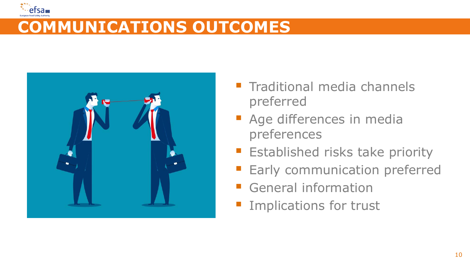

## **COMMUNICATIONS OUTCOMES**



- $\blacksquare$  Traditional media channels preferred
- **Age differences in media** preferences
- **Established risks take priority**
- **Early communication preferred**
- General information
- **Implications for trust**